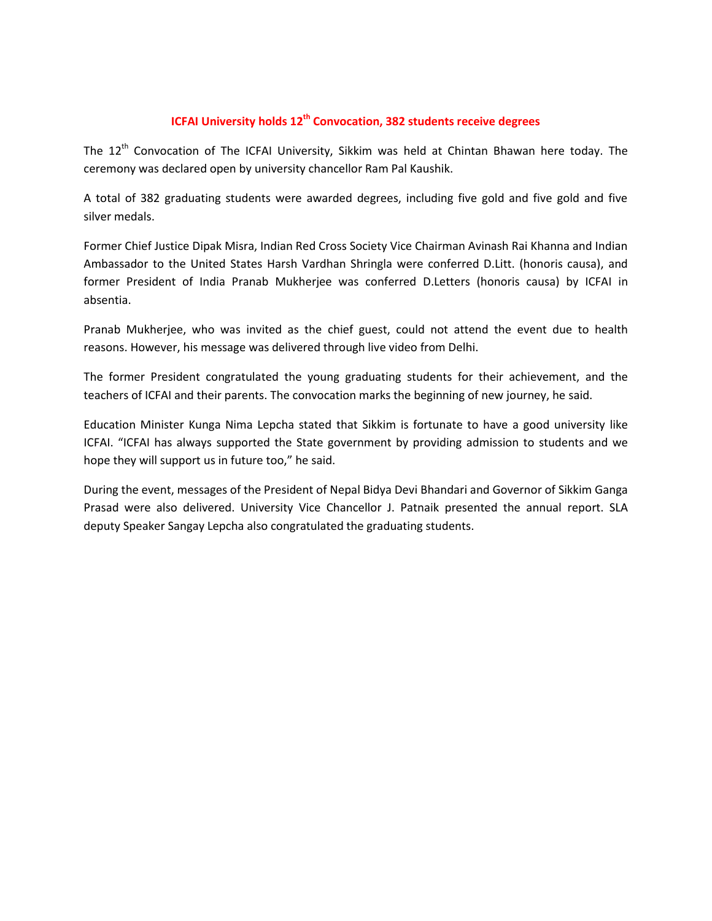## **ICFAI University holds 12th Convocation, 382 students receive degrees**

The 12<sup>th</sup> Convocation of The ICFAI University, Sikkim was held at Chintan Bhawan here today. The ceremony was declared open by university chancellor Ram Pal Kaushik.

A total of 382 graduating students were awarded degrees, including five gold and five gold and five silver medals.

Former Chief Justice Dipak Misra, Indian Red Cross Society Vice Chairman Avinash Rai Khanna and Indian Ambassador to the United States Harsh Vardhan Shringla were conferred D.Litt. (honoris causa), and former President of India Pranab Mukherjee was conferred D.Letters (honoris causa) by ICFAI in absentia.

Pranab Mukherjee, who was invited as the chief guest, could not attend the event due to health reasons. However, his message was delivered through live video from Delhi.

The former President congratulated the young graduating students for their achievement, and the teachers of ICFAI and their parents. The convocation marks the beginning of new journey, he said.

Education Minister Kunga Nima Lepcha stated that Sikkim is fortunate to have a good university like ICFAI. "ICFAI has always supported the State government by providing admission to students and we hope they will support us in future too," he said.

During the event, messages of the President of Nepal Bidya Devi Bhandari and Governor of Sikkim Ganga Prasad were also delivered. University Vice Chancellor J. Patnaik presented the annual report. SLA deputy Speaker Sangay Lepcha also congratulated the graduating students.